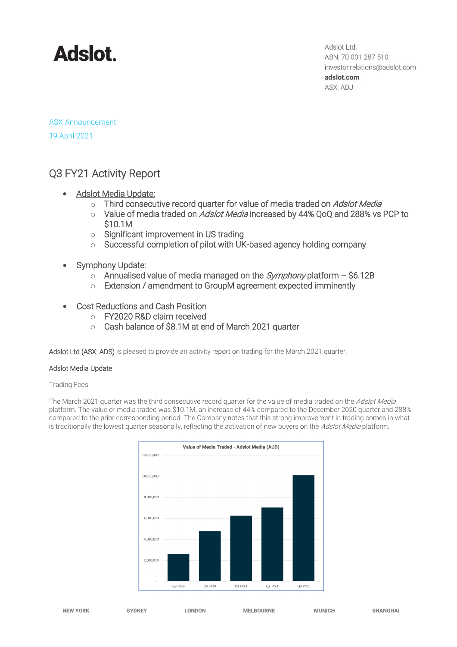# **Adslot**

Adslot Ltd. ABN: 70 001 287 510 investor.relations@adslot.com adslot.com ASX: ADJ

ASX Announcement 19 April 2021

# Q3 FY21 Activity Report

- Adslot Media Update:
	- o Third consecutive record quarter for value of media traded on Adslot Media
	- o Value of media traded on Adslot Media increased by 44% QoQ and 288% vs PCP to \$10.1M
	- o Significant improvement in US trading
	- o Successful completion of pilot with UK-based agency holding company
- **Symphony Update:** 
	- $\circ$  Annualised value of media managed on the *Symphony* platform \$6.12B
	- o Extension / amendment to GroupM agreement expected imminently
- Cost Reductions and Cash Position
	- o FY2020 R&D claim received
	- o Cash balance of \$8.1M at end of March 2021 quarter

Adslot Ltd (ASX: ADS) is pleased to provide an activity report on trading for the March 2021 quarter.

# Adslot Media Update

### Trading Fees

The March 2021 quarter was the third consecutive record quarter for the value of media traded on the Adslot Media platform. The value of media traded was \$10.1M, an increase of 44% compared to the December 2020 quarter and 288% compared to the prior corresponding period. The Company notes that this strong improvement in trading comes in what is traditionally the lowest quarter seasonally, reflecting the activation of new buyers on the Adslot Media platform.

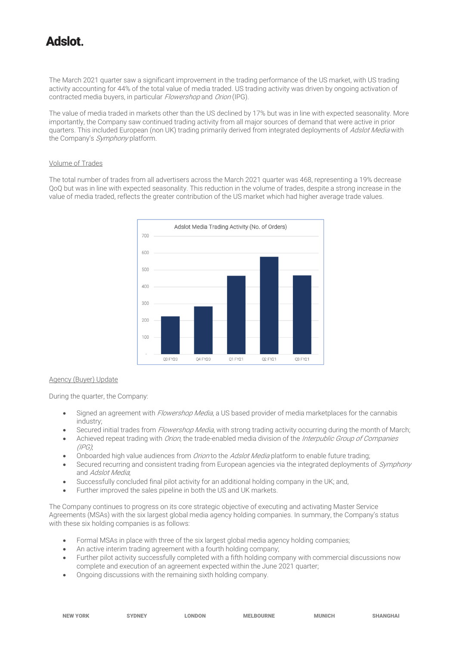# tolahA

The March 2021 quarter saw a significant improvement in the trading performance of the US market, with US trading activity accounting for 44% of the total value of media traded. US trading activity was driven by ongoing activation of contracted media buyers, in particular Flowershop and Orion (IPG).

The value of media traded in markets other than the US declined by 17% but was in line with expected seasonality. More importantly, the Company saw continued trading activity from all major sources of demand that were active in prior quarters. This included European (non UK) trading primarily derived from integrated deployments of Adslot Media with the Company's Symphony platform.

#### Volume of Trades

The total number of trades from all advertisers across the March 2021 quarter was 468, representing a 19% decrease QoQ but was in line with expected seasonality. This reduction in the volume of trades, despite a strong increase in the value of media traded, reflects the greater contribution of the US market which had higher average trade values.



### Agency (Buyer) Update

During the quarter, the Company:

- Signed an agreement with Flowershop Media, a US based provider of media marketplaces for the cannabis industry;
- Secured initial trades from Flowershop Media, with strong trading activity occurring during the month of March;
- Achieved repeat trading with Orion, the trade-enabled media division of the Interpublic Group of Companies  $(IPG)$
- Onboarded high value audiences from Orion to the Adslot Media platform to enable future trading;
- Secured recurring and consistent trading from European agencies via the integrated deployments of Symphony and Adslot Media;
- Successfully concluded final pilot activity for an additional holding company in the UK; and,
- Further improved the sales pipeline in both the US and UK markets.

The Company continues to progress on its core strategic objective of executing and activating Master Service Agreements (MSAs) with the six largest global media agency holding companies. In summary, the Company's status with these six holding companies is as follows:

- Formal MSAs in place with three of the six largest global media agency holding companies;
- An active interim trading agreement with a fourth holding company;
- Further pilot activity successfully completed with a fifth holding company with commercial discussions now complete and execution of an agreement expected within the June 2021 quarter;
- Ongoing discussions with the remaining sixth holding company.

| -- |  |
|----|--|
|    |  |
|    |  |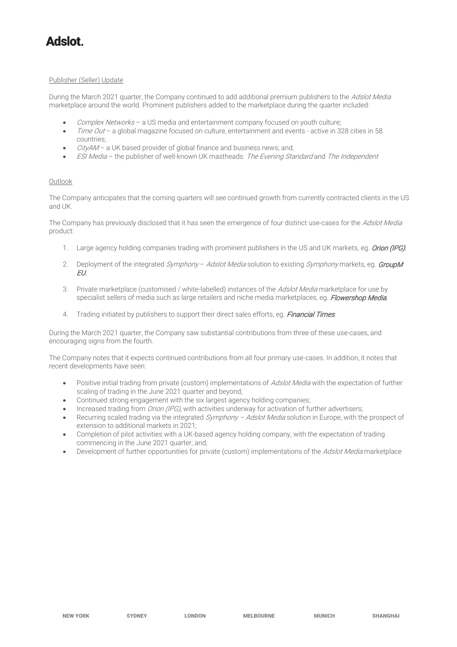# tolahA

#### Publisher (Seller) Update

During the March 2021 quarter, the Company continued to add additional premium publishers to the Adslot Media marketplace around the world. Prominent publishers added to the marketplace during the quarter included:

- Complex Networks a US media and entertainment company focused on youth culture;
- Time Out a global magazine focused on culture, entertainment and events active in 328 cities in 58 countries;
- $CityAM a UK based provider of global finance and business news; and,$
- ESI Media the publisher of well-known UK mastheads: The Evening Standard and The Independent

### Outlook

The Company anticipates that the coming quarters will see continued growth from currently contracted clients in the US and UK.

The Company has previously disclosed that it has seen the emergence of four distinct use-cases for the Adslot Media product:

- 1. Large agency holding companies trading with prominent publishers in the US and UK markets, eg. Orion (IPG);
- 2. Deployment of the integrated Symphony Adslot Media solution to existing Symphony markets, eg. GroupM EU;
- 3. Private marketplace (customised / white-labelled) instances of the Adslot Media marketplace for use by specialist sellers of media such as large retailers and niche media marketplaces, eg. Flowershop Media;
- 4. Trading initiated by publishers to support their direct sales efforts, eg. Financial Times.

During the March 2021 quarter, the Company saw substantial contributions from three of these use-cases, and encouraging signs from the fourth.

The Company notes that it expects continued contributions from all four primary use-cases. In addition, it notes that recent developments have seen:

- Positive initial trading from private (custom) implementations of Adslot Media with the expectation of further scaling of trading in the June 2021 quarter and beyond;
- Continued strong engagement with the six largest agency holding companies;
- Increased trading from Orion (IPG), with activities underway for activation of further advertisers;
- Recurring scaled trading via the integrated Symphony Adslot Media solution in Europe, with the prospect of extension to additional markets in 2021;
- Completion of pilot activities with a UK-based agency holding company, with the expectation of trading commencing in the June 2021 quarter; and,
- Development of further opportunities for private (custom) implementations of the Adslot Media marketplace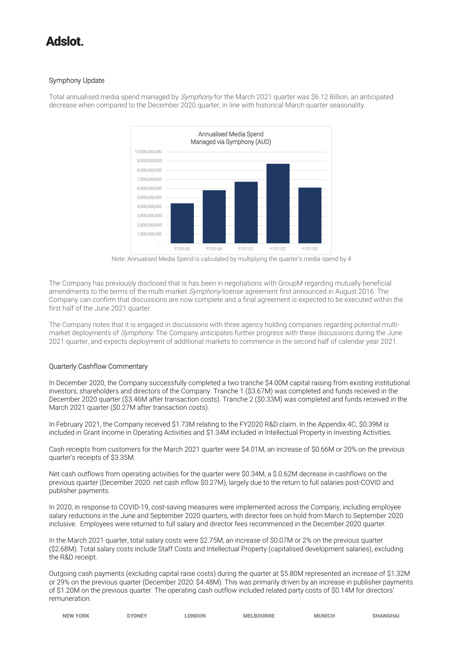# tolahA

# Symphony Update



Total annualised media spend managed by *Symphony* for the March 2021 quarter was \$6.12 Billion, an anticipated decrease when compared to the December 2020 quarter, in line with historical March quarter seasonality.

Note: Annualised Media Spend is calculated by multiplying the quarter's media spend by 4

The Company has previously disclosed that is has been in negotiations with GroupM regarding mutually beneficial amendments to the terms of the multi-market Symphony license agreement first announced in August 2016. The Company can confirm that discussions are now complete and a final agreement is expected to be executed within the first half of the June 2021 quarter.

The Company notes that it is engaged in discussions with three agency holding companies regarding potential multimarket deployments of Symphony. The Company anticipates further progress with these discussions during the June 2021 quarter, and expects deployment of additional markets to commence in the second half of calendar year 2021.

# Quarterly Cashflow Commentary

In December 2020, the Company successfully completed a two tranche \$4.00M capital raising from existing institutional investors, shareholders and directors of the Company. Tranche 1 (\$3.67M) was completed and funds received in the December 2020 quarter (\$3.46M after transaction costs). Tranche 2 (\$0.33M) was completed and funds received in the March 2021 quarter (\$0.27M after transaction costs).

In February 2021, the Company received \$1.73M relating to the FY2020 R&D claim. In the Appendix 4C, \$0.39M is included in Grant Income in Operating Activities and \$1.34M included in Intellectual Property in Investing Activities.

Cash receipts from customers for the March 2021 quarter were \$4.01M, an increase of \$0.66M or 20% on the previous quarter's receipts of \$3.35M.

Net cash outflows from operating activities for the quarter were \$0.34M, a \$.0.62M decrease in cashflows on the previous quarter (December 2020: net cash inflow \$0.27M), largely due to the return to full salaries post-COVID and publisher payments.

In 2020, in response to COVID-19, cost-saving measures were implemented across the Company, including employee salary reductions in the June and September 2020 quarters, with director fees on hold from March to September 2020 inclusive. Employees were returned to full salary and director fees recommenced in the December 2020 quarter.

In the March 2021 quarter, total salary costs were \$2.75M, an increase of \$0.07M or 2% on the previous quarter (\$2.68M). Total salary costs include Staff Costs and Intellectual Property (capitalised development salaries), excluding the R&D receipt.

Outgoing cash payments (excluding capital raise costs) during the quarter at \$5.80M represented an increase of \$1.32M or 29% on the previous quarter (December 2020: \$4.48M). This was primarily driven by an increase in publisher payments of \$1.20M on the previous quarter. The operating cash outflow included related party costs of \$0.14M for directors' remuneration.

|  | <b>NEW YORK</b> | <b>YDNEY</b> | <b>LONDON</b> | <b>MELBOURNE</b> | <b>MUNICH</b> | <b>SHANGHAI</b> |
|--|-----------------|--------------|---------------|------------------|---------------|-----------------|
|--|-----------------|--------------|---------------|------------------|---------------|-----------------|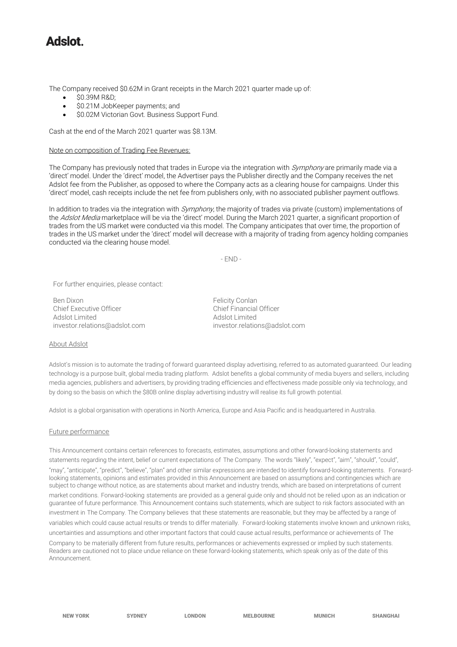# tolehA

The Company received \$0.62M in Grant receipts in the March 2021 quarter made up of:

- \$0.39M R&D;
- \$0.21M JobKeeper payments; and
- \$0.02M Victorian Govt. Business Support Fund.

Cash at the end of the March 2021 quarter was \$8.13M.

#### Note on composition of Trading Fee Revenues:

The Company has previously noted that trades in Europe via the integration with Symphony are primarily made via a 'direct' model. Under the 'direct' model, the Advertiser pays the Publisher directly and the Company receives the net Adslot fee from the Publisher, as opposed to where the Company acts as a clearing house for campaigns. Under this 'direct' model, cash receipts include the net fee from publishers only, with no associated publisher payment outflows.

In addition to trades via the integration with *Symphony*, the majority of trades via private (custom) implementations of the Adslot Media marketplace will be via the 'direct' model. During the March 2021 quarter, a significant proportion of trades from the US market were conducted via this model. The Company anticipates that over time, the proportion of trades in the US market under the 'direct' model will decrease with a majority of trading from agency holding companies conducted via the clearing house model.

 $-$  FND  $-$ 

For further enquiries, please contact:

Ben Dixon<br>Chief Executive Officer<br>Chief Einancial Officer Chief Executive Officer Adslot Limited Adslot Limited [investor.relations@adslot.com](mailto:info@adslot.com.au) investor.relations@adslot.com

#### About Adslot

Adslot's mission is to automate the trading of forward guaranteed display advertising, referred to as automated guaranteed. Our leading technology is a purpose built, global media trading platform. Adslot benefits a global community of media buyers and sellers, including media agencies, publishers and advertisers, by providing trading efficiencies and effectiveness made possible only via technology, and by doing so the basis on which the \$80B online display advertising industry will realise its full growth potential.

Adslot is a global organisation with operations in North America, Europe and Asia Pacific and is headquartered in Australia.

#### Future performance

This Announcement contains certain references to forecasts, estimates, assumptions and other forward-looking statements and statements regarding the intent, belief or current expectations of The Company. The words "likely", "expect", "aim", "should", "could", "may", "anticipate", "predict", "believe", "plan" and other similar expressions are intended to identify forward-looking statements. Forwardlooking statements, opinions and estimates provided in this Announcement are based on assumptions and contingencies which are subject to change without notice, as are statements about market and industry trends, which are based on interpretations of current market conditions. Forward-looking statements are provided as a general guide only and should not be relied upon as an indication or guarantee of future performance. This Announcement contains such statements, which are subject to risk factors associated with an investment in The Company. The Company believes that these statements are reasonable, but they may be affected by a range of variables which could cause actual results or trends to differ materially. Forward-looking statements involve known and unknown risks, uncertainties and assumptions and other important factors that could cause actual results, performance or achievements of The Company to be materially different from future results, performances or achievements expressed or implied by such statements. Readers are cautioned not to place undue reliance on these forward-looking statements, which speak only as of the date of this Announcement.

NEW YORK SYDNEY LONDON MELBOURNE MUNICH SHANGHAI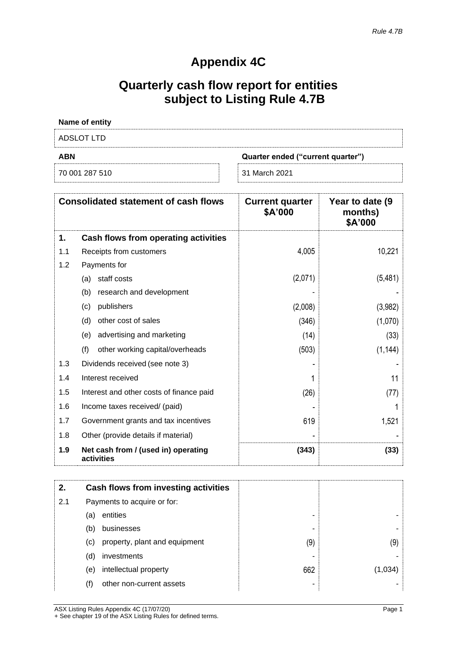# **Appendix 4C**

# **Quarterly cash flow report for entities subject to Listing Rule 4.7B**

| Name of entity |                                   |
|----------------|-----------------------------------|
| ADSLOT LTD     |                                   |
| ABN            | Quarter ended ("current quarter") |
| 70 001 287 510 | 31 March 2021                     |

|     | <b>Consolidated statement of cash flows</b>       | <b>Current quarter</b><br>\$A'000 | Year to date (9)<br>months)<br>\$A'000 |
|-----|---------------------------------------------------|-----------------------------------|----------------------------------------|
| 1.  | Cash flows from operating activities              |                                   |                                        |
| 1.1 | Receipts from customers                           | 4,005                             | 10,221                                 |
| 1.2 | Payments for                                      |                                   |                                        |
|     | staff costs<br>(a)                                | (2,071)                           | (5,481)                                |
|     | research and development<br>(b)                   |                                   |                                        |
|     | publishers<br>(c)                                 | (2,008)                           | (3,982)                                |
|     | (d)<br>other cost of sales                        | (346)                             | (1,070)                                |
|     | advertising and marketing<br>(e)                  | (14)                              | (33)                                   |
|     | (f)<br>other working capital/overheads            | (503)                             | (1, 144)                               |
| 1.3 | Dividends received (see note 3)                   |                                   |                                        |
| 1.4 | Interest received                                 |                                   | 11                                     |
| 1.5 | Interest and other costs of finance paid          | (26)                              | (77)                                   |
| 1.6 | Income taxes received/ (paid)                     |                                   |                                        |
| 1.7 | Government grants and tax incentives              | 619                               | 1,521                                  |
| 1.8 | Other (provide details if material)               |                                   |                                        |
| 1.9 | Net cash from / (used in) operating<br>activities | (343)                             | (33)                                   |

| 2.  |                            | Cash flows from investing activities |     |         |
|-----|----------------------------|--------------------------------------|-----|---------|
| 2.1 |                            | Payments to acquire or for:          |     |         |
|     | (a)                        | entities                             | -   |         |
|     | (b)                        | businesses                           |     |         |
|     | $\left( \mathrm{c}\right)$ | property, plant and equipment        | (9) | (9)     |
|     | (d)                        | investments                          |     |         |
|     | (e)                        | intellectual property                | 662 | (1,034) |
|     | (f)                        | other non-current assets             |     |         |

ASX Listing Rules Appendix 4C (17/07/20) Page 1 + See chapter 19 of the ASX Listing Rules for defined terms.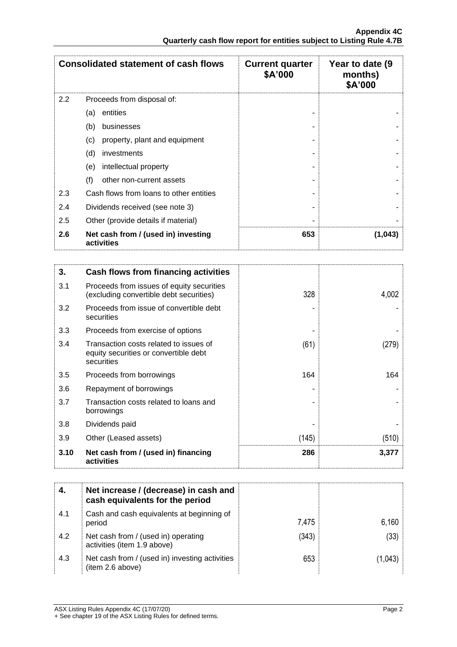|         | <b>Consolidated statement of cash flows</b>       | <b>Current quarter</b><br>\$A'000 | Year to date (9)<br>months)<br>\$A'000 |
|---------|---------------------------------------------------|-----------------------------------|----------------------------------------|
| $2.2\,$ | Proceeds from disposal of:                        |                                   |                                        |
|         | entities<br>(a)                                   |                                   |                                        |
|         | (b)<br>businesses                                 |                                   |                                        |
|         | property, plant and equipment<br>(c)              |                                   |                                        |
|         | (d)<br>investments                                |                                   |                                        |
|         | intellectual property<br>(e)                      |                                   |                                        |
|         | (f)<br>other non-current assets                   |                                   |                                        |
| 2.3     | Cash flows from loans to other entities           |                                   |                                        |
| 2.4     | Dividends received (see note 3)                   |                                   |                                        |
| 2.5     | Other (provide details if material)               |                                   |                                        |
| 2.6     | Net cash from / (used in) investing<br>activities | 653                               | (1, 043)                               |

| 3.   | Cash flows from financing activities                                                          |       |       |
|------|-----------------------------------------------------------------------------------------------|-------|-------|
| 3.1  | Proceeds from issues of equity securities<br>(excluding convertible debt securities)          | 328   | 4,002 |
| 3.2  | Proceeds from issue of convertible debt<br>securities                                         |       |       |
| 3.3  | Proceeds from exercise of options                                                             |       |       |
| 3.4  | Transaction costs related to issues of<br>equity securities or convertible debt<br>securities | (61)  | (279) |
| 3.5  | Proceeds from borrowings                                                                      | 164   | 164   |
| 3.6  | Repayment of borrowings                                                                       |       |       |
| 3.7  | Transaction costs related to loans and<br>borrowings                                          |       |       |
| 3.8  | Dividends paid                                                                                |       |       |
| 3.9  | Other (Leased assets)                                                                         | (145) | (510) |
| 3.10 | Net cash from / (used in) financing<br>activities                                             | 286   | 3,377 |

|     | Net increase / (decrease) in cash and<br>cash equivalents for the period |       |       |
|-----|--------------------------------------------------------------------------|-------|-------|
| 4.1 | Cash and cash equivalents at beginning of<br>period                      | 7,475 | 6,160 |
| 4.2 | Net cash from / (used in) operating<br>activities (item 1.9 above)       | (343) | (33)  |
| 4.3 | Net cash from / (used in) investing activities<br>(item 2.6 above)       | 653   |       |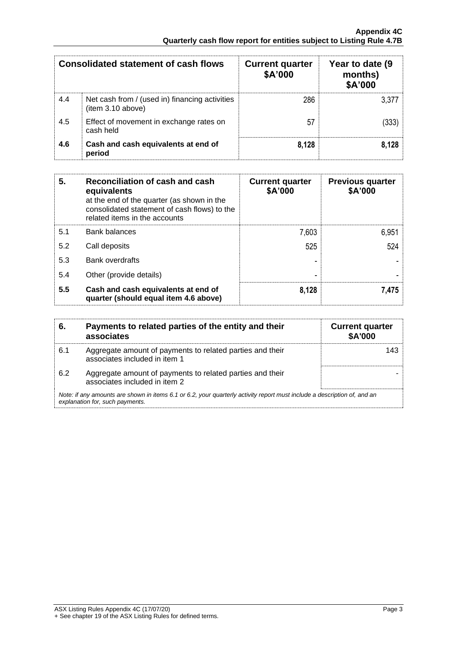|     | <b>Consolidated statement of cash flows</b>                        | <b>Current quarter</b><br>\$A'000 | Year to date (9)<br>months)<br>\$A'000 |
|-----|--------------------------------------------------------------------|-----------------------------------|----------------------------------------|
| 4.4 | Net cash from / (used in) financing activities<br>item 3.10 above) | 286                               | 3.377                                  |
| 4.5 | Effect of movement in exchange rates on<br>cash held               | 57                                | (333)                                  |
| 4.6 | Cash and cash equivalents at end of<br>period                      | 8,128                             | 8.128                                  |

| 5.  | Reconciliation of cash and cash<br>equivalents<br>at the end of the quarter (as shown in the<br>consolidated statement of cash flows) to the<br>related items in the accounts | <b>Current quarter</b><br>\$A'000 | <b>Previous quarter</b><br>\$A'000 |
|-----|-------------------------------------------------------------------------------------------------------------------------------------------------------------------------------|-----------------------------------|------------------------------------|
| 5.1 | <b>Bank balances</b>                                                                                                                                                          | 7,603                             | 6,951                              |
| 5.2 | Call deposits                                                                                                                                                                 | 525                               | 524                                |
| 5.3 | <b>Bank overdrafts</b>                                                                                                                                                        |                                   |                                    |
| 5.4 | Other (provide details)                                                                                                                                                       |                                   |                                    |
| 5.5 | Cash and cash equivalents at end of<br>quarter (should equal item 4.6 above)                                                                                                  | 8,128                             | 7,475                              |

| 6.  | Payments to related parties of the entity and their<br>associates                                                                                           | <b>Current quarter</b><br><b>\$A'000</b> |  |
|-----|-------------------------------------------------------------------------------------------------------------------------------------------------------------|------------------------------------------|--|
| 6.1 | Aggregate amount of payments to related parties and their<br>associates included in item 1                                                                  | 143                                      |  |
| 6.2 | Aggregate amount of payments to related parties and their<br>associates included in item 2                                                                  |                                          |  |
|     | Note: if any amounts are shown in items 6.1 or 6.2, your quarterly activity report must include a description of, and an<br>explanation for, such payments. |                                          |  |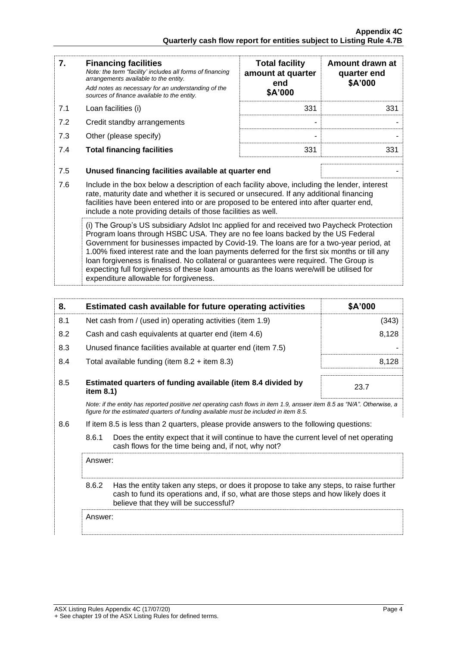| 7.  | <b>Financing facilities</b><br>Note: the term "facility' includes all forms of financing<br>arrangements available to the entity.<br>Add notes as necessary for an understanding of the<br>sources of finance available to the entity.                                                                                                                                                                                                                                                                                                                                                                 | <b>Total facility</b><br>amount at quarter<br>end<br>\$A'000 | Amount drawn at<br>quarter end<br>\$A'000 |
|-----|--------------------------------------------------------------------------------------------------------------------------------------------------------------------------------------------------------------------------------------------------------------------------------------------------------------------------------------------------------------------------------------------------------------------------------------------------------------------------------------------------------------------------------------------------------------------------------------------------------|--------------------------------------------------------------|-------------------------------------------|
| 7.1 | Loan facilities (i)                                                                                                                                                                                                                                                                                                                                                                                                                                                                                                                                                                                    | 331                                                          | 331                                       |
| 7.2 | Credit standby arrangements                                                                                                                                                                                                                                                                                                                                                                                                                                                                                                                                                                            |                                                              |                                           |
| 7.3 | Other (please specify)                                                                                                                                                                                                                                                                                                                                                                                                                                                                                                                                                                                 |                                                              |                                           |
| 7.4 | <b>Total financing facilities</b>                                                                                                                                                                                                                                                                                                                                                                                                                                                                                                                                                                      | 331                                                          | 331                                       |
| 7.5 | Unused financing facilities available at quarter end                                                                                                                                                                                                                                                                                                                                                                                                                                                                                                                                                   |                                                              |                                           |
| 7.6 | Include in the box below a description of each facility above, including the lender, interest<br>rate, maturity date and whether it is secured or unsecured. If any additional financing<br>facilities have been entered into or are proposed to be entered into after quarter end,<br>include a note providing details of those facilities as well.                                                                                                                                                                                                                                                   |                                                              |                                           |
|     | (i) The Group's US subsidiary Adslot Inc applied for and received two Paycheck Protection<br>Program loans through HSBC USA. They are no fee loans backed by the US Federal<br>Government for businesses impacted by Covid-19. The loans are for a two-year period, at<br>1.00% fixed interest rate and the loan payments deferred for the first six months or till any<br>loan forgiveness is finalised. No collateral or guarantees were required. The Group is<br>expecting full forgiveness of these loan amounts as the loans were/will be utilised for<br>expenditure allowable for forgiveness. |                                                              |                                           |

| 8.  |                                                                                                                                                                                                                                 | Estimated cash available for future operating activities                                                                                       | \$A'000 |
|-----|---------------------------------------------------------------------------------------------------------------------------------------------------------------------------------------------------------------------------------|------------------------------------------------------------------------------------------------------------------------------------------------|---------|
| 8.1 |                                                                                                                                                                                                                                 | Net cash from / (used in) operating activities (item 1.9)                                                                                      | (343)   |
| 8.2 |                                                                                                                                                                                                                                 | Cash and cash equivalents at quarter end (item 4.6)                                                                                            | 8,128   |
| 8.3 |                                                                                                                                                                                                                                 | Unused finance facilities available at quarter end (item 7.5)                                                                                  |         |
| 8.4 |                                                                                                                                                                                                                                 | Total available funding (item $8.2 +$ item $8.3$ )                                                                                             | 8,128   |
| 8.5 | Estimated quarters of funding available (item 8.4 divided by<br>item 8.1)                                                                                                                                                       |                                                                                                                                                | 23.7    |
|     | Note: if the entity has reported positive net operating cash flows in item 1.9, answer item 8.5 as "N/A". Otherwise, a<br>figure for the estimated guarters of funding available must be included in item 8.5.                  |                                                                                                                                                |         |
| 8.6 | If item 8.5 is less than 2 quarters, please provide answers to the following questions:                                                                                                                                         |                                                                                                                                                |         |
|     | 8.6.1                                                                                                                                                                                                                           | Does the entity expect that it will continue to have the current level of net operating<br>cash flows for the time being and, if not, why not? |         |
|     | Answer:                                                                                                                                                                                                                         |                                                                                                                                                |         |
|     | 8.6.2<br>Has the entity taken any steps, or does it propose to take any steps, to raise further<br>cash to fund its operations and, if so, what are those steps and how likely does it<br>believe that they will be successful? |                                                                                                                                                |         |
|     | Answer:                                                                                                                                                                                                                         |                                                                                                                                                |         |
|     |                                                                                                                                                                                                                                 |                                                                                                                                                |         |